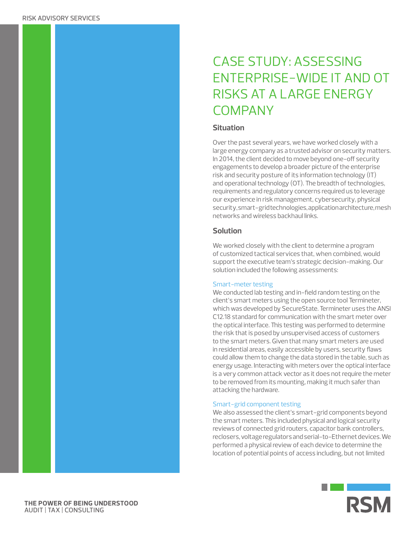# CASE STUDY: ASSESSING ENTERPRISE-WIDE IT AND OT RISKS AT A LARGE ENERGY **COMPANY**

# **Situation**

Over the past several years, we have worked closely with a large energy company as a trusted advisor on security matters. In 2014, the client decided to move beyond one-off security engagements to develop a broader picture of the enterprise risk and security posture of its information technology (IT) and operational technology (OT). The breadth of technologies, requirements and regulatory concerns required us to leverage our experience in risk management, cybersecurity, physical security, smart-grid technologies, application architecture, mesh networks and wireless backhaul links.

# **Solution**

We worked closely with the client to determine a program of customized tactical services that, when combined, would support the executive team's strategic decision-making. Our solution included the following assessments:

## Smart-meter testing

We conducted lab testing and in-field random testing on the client's smart meters using the open source tool Termineter, which was developed by SecureState. Termineter uses the ANSI C12.18 standard for communication with the smart meter over the optical interface. This testing was performed to determine the risk that is posed by unsupervised access of customers to the smart meters. Given that many smart meters are used in residential areas, easily accessible by users, security flaws could allow them to change the data stored in the table, such as energy usage. Interacting with meters over the optical interface is a very common attack vector as it does not require the meter to be removed from its mounting, making it much safer than attacking the hardware.

## Smart-grid component testing

We also assessed the client's smart-grid components beyond the smart meters. This included physical and logical security reviews of connected grid routers, capacitor bank controllers, reclosers, voltage regulators and serial-to-Ethernet devices. We performed a physical review of each device to determine the location of potential points of access including, but not limited